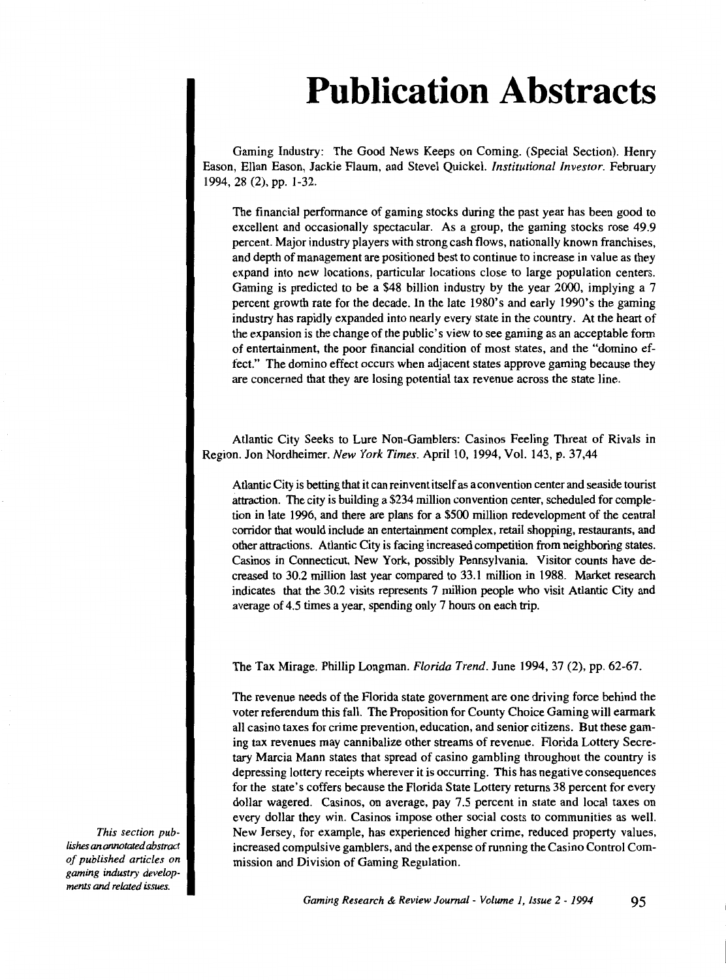## **Publication Abstracts**

Gaming Industry: The Good News Keeps on Coming. (Special Section). Henry Eason, Ellan Eason, Jackie Flaum, and Steve) Quickel. *Institutional Investor.* February 1994, 28 (2), pp. 1-32.

The financial performance of gaming stocks during the past year has been good to excellent and occasionally spectacular. As a group, the gaming stocks rose 49.9 percent. Major industry players with strong cash flows, nationally known franchises, and depth of management are positioned best to continue to increase in value as they expand into new locations, particular locations close to large population centers. Gaming is predicted to be a \$48 billion industry by the year 2000, implying a 7 percent growth rate for the decade. In the late 1980's and early 1990's the gaming industry has rapidly expanded into nearly every state in the country. At the heart of the expansion is the change of the public's view to see gaming as an acceptable fonn of entertainment, the poor financial condition of most states, and the "domino effect." The domino effect occurs when adjacent states approve gaming because they are concerned that they are losing potential tax revenue across the state line.

Atlantic City Seeks to Lure Non-Gamblers: Casinos Feeling Threat of Rivals in Region. Jon Nordheimer. *New York Times.* April 10, 1994, Vol. 143, p. 37,44

Atlantic City is betting that it can reinvent itself as a convention center and seaside tourist attraction. The city is building a \$234 million convention center, scheduled for completion in late 1996, and there are plans for a \$500 million redevelopment of the central corridor that would include an entertainment complex, retail shopping, restaurants, and other attractions. Atlantic City is facing increased competition from neighboring states. Casinos in Connecticut, New York, possibly Pennsylvania. Visitor counts have decreased to 30.2 million last year compared to 33.1 million in 1988. Market research indicates that the 30.2 visits represents 7 million people who visit Atlantic City and average of 4.5 times a year, spending only 7 hours on each trip.

The Tax Mirage. Phillip Longman. *Florida Trend.* June 1994, 37 (2), pp. 62-67.

The revenue needs of the Florida state government are one driving force behind the voter referendum this fall. The Proposition for County Choice Gaming will earmark all casino taxes for crime prevention, education, and senior citizens. But these gaming tax revenues may cannibalize other streams of revenue. Florida Lottery Secretary Marcia Mann states that spread of casino gambling throughout the country is depressing lottery receipts wherever it is occurring. This has negative consequences for the state's coffers because the Florida State Lottery returns 38 percent for every dollar wagered. Casinos, on average, pay 7.5 percent in state and local taxes on every dollar they win. Casinos impose other social costs to communities as well. New Jersey, for example, has experienced higher crime, reduced property values, increased compulsive gamblers, and the expense of running the Casino Control Commission and Division of Gaming Regulation.

*This section publishes an annotated abstract of published articles on gaming industry developments* and *related issues.*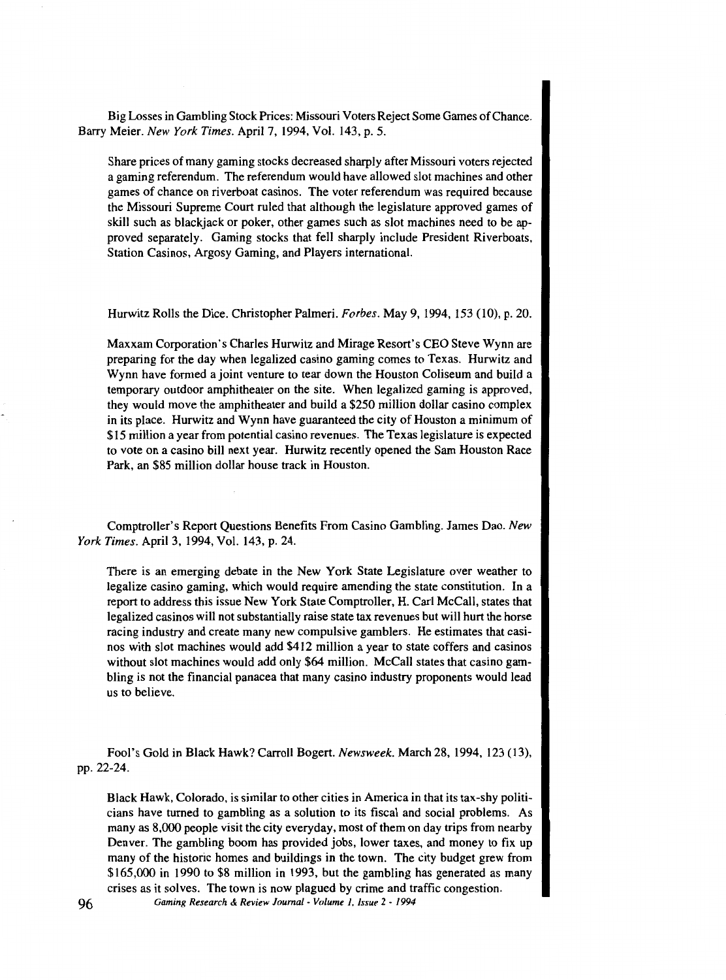Big Losses in Gambling Stock Prices: Missouri Voters Reject Some Games of Chance. Barry Meier. *New York Times.* April 7, 1994, Vol. 143, p. 5.

Share prices of many gaming stocks decreased sharply after Missouri voters rejected a gaming referendum. The referendum would have allowed slot machines and other games of chance on riverboat casinos. The voter referendum was required because the Missouri Supreme Court ruled that although the legislature approved games of skill such as blackjack or poker, other games such as slot machines need to be approved separately. Gaming stocks that fell sharply include President Riverboats, Station Casinos, Argosy Gaming, and Players international.

Hurwitz Rolls the Dice. Christopher Palmeri. *Forbes.* May 9, 1994, 153 (10), p. 20.

Maxxam Corporation's Charles Hurwitz and Mirage Resort's CEO Steve Wynn are preparing for the day when legalized casino gaming comes to Texas. Hurwitz and Wynn have formed a joint venture to tear down the Houston Coliseum and build a temporary outdoor amphitheater on the site. When legalized gaming is approved, they would move the amphitheater and build a \$250 million dollar casino complex in its place. Hurwitz and Wynn have guaranteed the city of Houston a minimum of \$15 million a year from potential casino revenues. The Texas legislature is expected to vote on a casino bill next year. Hurwitz recently opened the Sam Houston Race Park, an \$85 million dollar house track in Houston.

Comptroller's Report Questions Benefits From Casino Gambling. James Dao. *New York Times.* April 3, 1994, Vol. 143, p. 24.

There is an emerging debate in the New York State Legislature over weather to legalize casino gaming, which would require amending the state constitution. In a report to address this issue New York State Comptroller, H. Carl McCall, states that legalized casinos will not substantially raise state tax revenues but will hurt the horse racing industry and create many new compulsive gamblers. He estimates that casinos with slot machines would add \$412 million a year to state coffers and casinos without slot machines would add only \$64 million. McCall states that casino gambling is not the financial panacea that many casino industry proponents would lead us to believe.

Fool's Gold in Black Hawk? Carroll Bogert. *Newsweek.* March 28, 1994, 123 (13), pp. 22-24.

Black Hawk, Colorado, is similar to other cities in America in that its tax-shy politicians have turned to gambling as a solution to its fiscal and social problems. As many as 8,000 people visit the city everyday, most of them on day trips from nearby Denver. The gambling boom has provided jobs, lower taxes, and money to fix up many of the historic homes and buildings in the town. The city budget grew from \$165,000 in 1990 to \$8 million in 1993, but the gambling has generated as many crises as it solves. The town is now plagued by crime and traffic congestion.

96 *Gaming Research* & *Review Journal- Volume 1, issue* 2- *<sup>1994</sup>*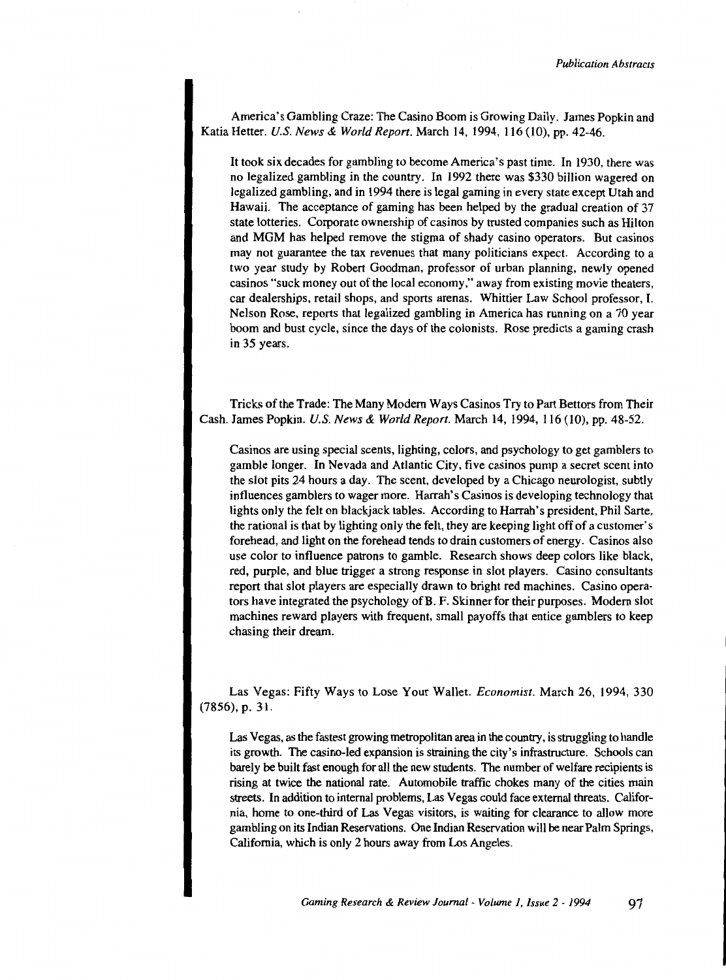America's Gambling Craze: The Casino Boom is Growing Daily. James Popkin and Katia Hetter. *U.S. News* & *World Repon.* March I4, I994, I I6 (10), pp. 42-46.

It took six decades for gambling to become America's past time. In I930, there was no legalized gambling in the country. In I992 there was \$330 billion wagered on legalized gambling, and in I994 there is legal gaming in every state except Utah and Hawaii. The acceptance of gaming has been helped by the gradual creation of 37 state lotteries. Corporate ownership of casinos by trusted companies such as Hilton and MGM has helped remove the stigma of shady casino operators. But casinos may not guarantee the tax revenues that many politicians expect. According to a two year study by Robert Goodman, professor of urban planning, newly opened casinos "suck money out of the local economy," away from existing movie theaters, car dealerships, retail shops, and sports arenas. Whittier Law School professor, I. Nelson Rose, reports that legalized gambling in America has running on a 70 year boom and bust cycle, since the days of the colonists. Rose predicts a gaming crash in 35 years.

Tricks of the Trade: The Many Modern Ways Casinos Try to Part Bettors from Their Cash. James Popkin. *U.S. News* & *World Report.* March I4, 1994, I I6 (10), pp. 48-52.

Casinos are using special scents, lighting, colors, and psychology to get gamblers to gamble longer. In Nevada and Atlantic City, five casinos pump a secret scent into the slot pits 24 hours a day. The scent, developed by a Chicago neurologist, subtly influences gamblers to wager more. Harrah's Casinos is developing technology that lights only the felt on blackjack tables. According to Harrah's president, Phil Sarte, the rational is that by lighting only the felt, they are keeping light off of a customer's forehead, and light on the forehead tends to drain customers of energy. Casinos also use color to influence patrons to gamble. Research shows deep colors like black, red, purple, and blue trigger a strong response in slot players. Casino consultants report that slot players are especially drawn to bright red machines. Casino operators have integrated the psychology of B. F. Skinner for their purposes. Modern slot machines reward players with frequent, small payoffs that entice gamblers to keep chasing their dream.

Las Vegas: Fifty Ways to Lose Your Wallet. *Economist.* March 26, 1994, 330 (7856), p. 3 I.

Las Vegas, as the fastest growing metropolitan area in the country, is struggling to handle its growth. The casino-led expansion is straining the city's infrastructure. Schools can barely be built fast enough for all the new students. The number of welfare recipients is rising at twice the national rate. Automobile traffic chokes many of the cities main streets. In addition to internal problems, Las Vegas could face external threats. California, home to one-third of Las Vegas visitors, is waiting for clearance to allow more gambling on its Indian Reservations. One Indian Reservation will be near Palm Springs, California, which is only 2 hours away from Los Angeles.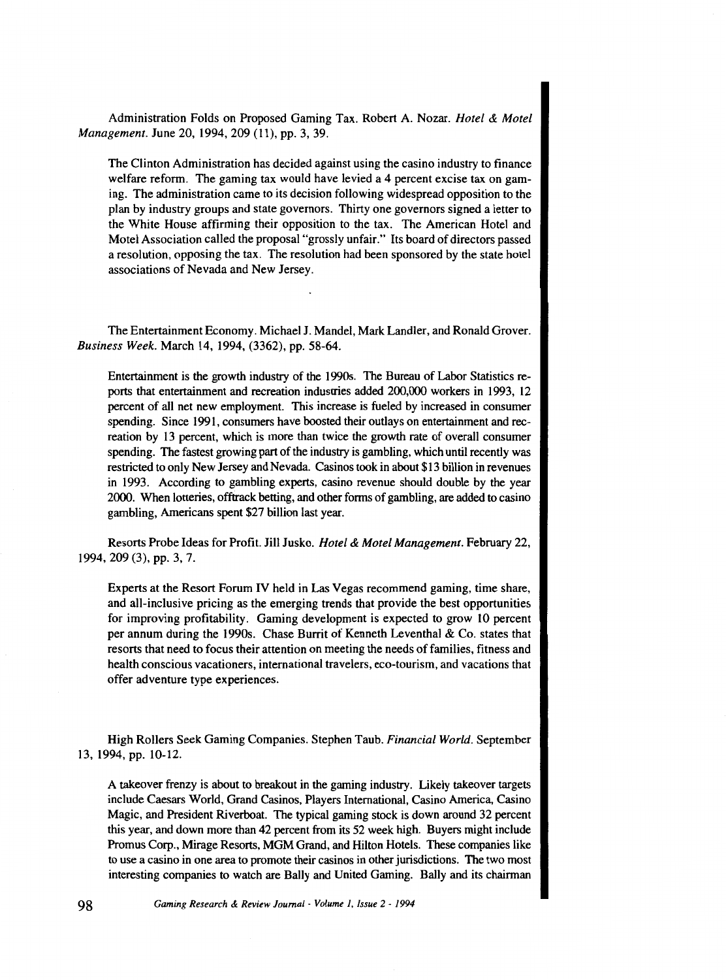Administration Folds on Proposed Gaming Tax. Robert A. Nozar. *Hotel* & *Motel Management.* June 20, 1994, 209 (11), pp. 3, 39.

The Clinton Administration has decided against using the casino industry to finance welfare reform. The gaming tax would have levied a 4 percent excise tax on gaming. The administration came to its decision following widespread opposition to the plan by industry groups and state governors. Thirty one governors signed a letter to the White House affirming their opposition to the tax. The American Hotel and Motel Association called the proposal "grossly unfair." Its board of directors passed a resolution, opposing the tax. The resolution had been sponsored by the state hotel associations of Nevada and New Jersey.

The Entertainment Economy. Michael J. Mandel, Mark Landler, and Ronald Grover. *Business Week.* March 14, 1994, (3362), pp. 58-64.

Entertainment is the growth industry of the 1990s. The Bureau of Labor Statistics reports that entertainment and recreation industries added 200,000 workers in 1993, 12 percent of all net new employment. This increase is fueled by increased in consumer spending. Since 1991, consumers have boosted their outlays on entertainment and recreation by 13 percent, which is more than twice the growth rate of overall consumer spending. The fastest growing part of the industry is gambling, which until recently was restricted to only New Jersey and Nevada. Casinos took in about \$13 billion in revenues in 1993. According to gambling experts, casino revenue should double by the year 2000. When lotteries, offtrack betting, and other forms of gambling, are added to casino gambling, Americans spent \$27 billion last year.

Resorts Probe Ideas for Profit. Jill Jusko. *Hotel* & *Motel Management.* February 22, 1994, 209 (3), pp. 3, 7.

Experts at the Resort Forum IV held in Las Vegas recommend gaming, time share, and all-inclusive pricing as the emerging trends that provide the best opportunities for improving profitability. Gaming development is expected to grow 10 percent per annum during the 1990s. Chase Burrit of Kenneth Leventhal & Co. states that resorts that need to focus their attention on meeting the needs of families, fitness and health conscious vacationers, international travelers, eco-tourism, and vacations that offer adventure type experiences.

High Rollers Seek Gaming Companies. Stephen Taub. *Financial World.* September 13, 1994, pp. 10-12.

A takeover frenzy is about to breakout in the gaming industry. Likely takeover targets include Caesars World, Grand Casinos, Players International, Casino America, Casino Magic, and President Riverboat. The typical gaming stock is down around 32 percent this year, and down more than 42 percent from its 52 week high. Buyers might include Promus Corp., Mirage Resorts, MGM Grand, and Hilton Hotels. These companies like to use a casino in one area to promote their casinos in other jurisdictions. The two most interesting companies to watch are Bally and United Gaming. Bally and its chairman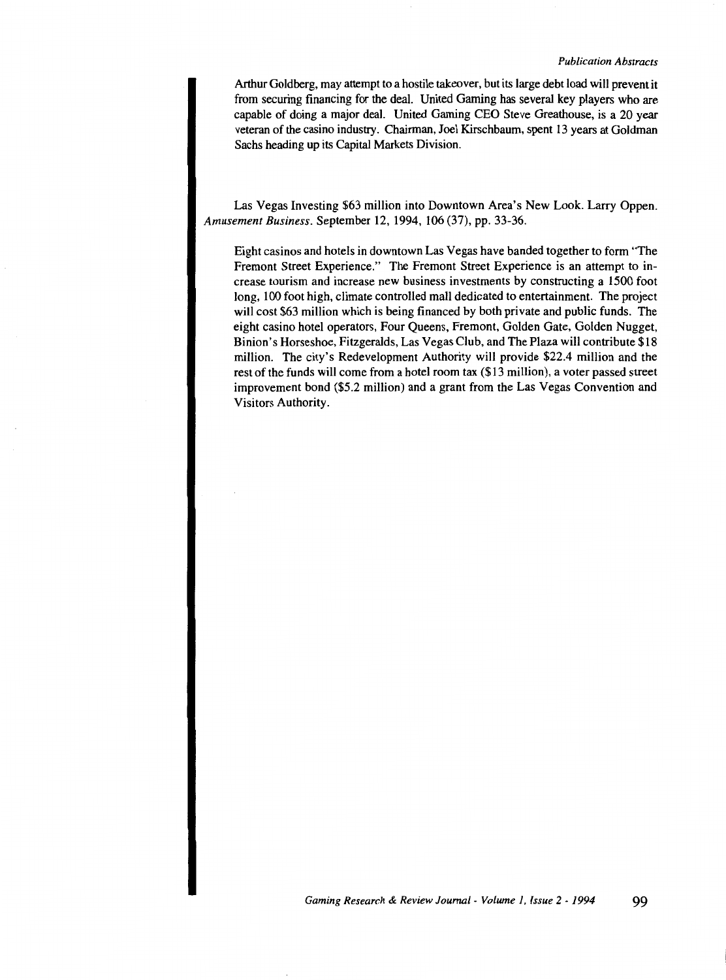Arthur Goldberg, may attempt to a hostile takeover, but its large debt load will prevent it from securing financing for the deal. United Gaming has several key players who are capable of doing a major deal. United Gaming CEO Steve Greathouse, is a 20 year veteran of the casino industry. Chairman, Joel Kirschbaum, spent 13 years at Goldman Sachs heading up its Capital Markets Division.

Las Vegas Investing \$63 million into Downtown Area's New Look. Larry Oppen. *Amusement Business.* September 12, 1994, 106 (37), pp. 33-36.

Eight casinos and hotels in downtown Las Vegas have banded together to form "The Fremont Street Experience." The Fremont Street Experience is an attempt to increase tourism and increase new business investments by constructing a 1500 foot long, 100 foot high, climate controlled mall dedicated to entertainment. The project will cost \$63 million which is being financed by both private and public funds. The eight casino hotel operators, Four Queens, Fremont, Golden Gate, Golden Nugget, Binion's Horseshoe, Fitzgeralds, Las Vegas Club, and The Plaza will contribute \$18 million. The city's Redevelopment Authority will provide \$22.4 million and the rest of the funds will come from a hotel room tax (\$13 million), a voter passed street improvement bond (\$5.2 million) and a grant from the Las Vegas Convention and Visitors Authority.